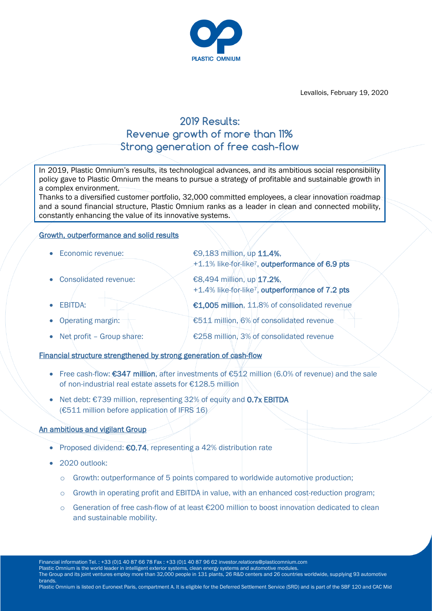

Levallois, February 19, 2020

# **2019 Results: Revenue growth of more than 11% Strong generation of free cash-flow**

In 2019, Plastic Omnium's results, its technological advances, and its ambitious social responsibility policy gave to Plastic Omnium the means to pursue a strategy of profitable and sustainable growth in a complex environment.

Thanks to a diversified customer portfolio, 32,000 committed employees, a clear innovation roadmap and a sound financial structure, Plastic Omnium ranks as a leader in clean and connected mobility, constantly enhancing the value of its innovative systems.

#### Growth, outperformance and solid results

- $\bullet$  Economic revenue:  $\epsilon$ 9,183 million, up 11.4%,
- Consolidated revenue:  $\leq$   $\leq$  68.494 million, up 17.2%,
- 
- 
- 

+1.4% like-for-like7, outperformance of 7.2 pts EBITDA:  $\bigcirc$  €1,005 million, 11.8% of consolidated revenue

+1.1% like-for-like7, outperformance of 6.9 pts

- Operating margin: €511 million, 6% of consolidated revenue
- Net profit Group share:  $\angle$  £258 million, 3% of consolidated revenue

Financial structure strengthened by strong generation of cash-flow

- Free cash-flow: €347 million, after investments of €512 million (6.0% of revenue) and the sale of non-industrial real estate assets for €128.5 million
- Net debt: €739 million, representing 32% of equity and 0.7x EBITDA (€511 million before application of IFRS  $16$ )

# An ambitious and vigilant Group

- Proposed dividend: €0.74, representing a 42% distribution rate
- 2020 outlook:
	- o Growth: outperformance of 5 points compared to worldwide automotive production;
	- $\circ$  Growth in operating profit and EBITDA in value, with an enhanced cost-reduction program;
	- o Generation of free cash-flow of at least €200 million to boost innovation dedicated to clean and sustainable mobility.

Financial information Tel. : +33 (0)1 40 87 66 78 Fax : +33 (0)1 40 87 96 62 investor.relations@plasticomnium.com

Plastic Omnium is the world leader in intelligent exterior systems, clean energy systems and automotive modules.

The Group and its joint ventures employ more than 32,000 people in 131 plants, 26 R&D centers and 26 countries worldwide, supplying 93 automotive brands.

Plastic Omnium is listed on Euronext Paris, compartment A. It is eligible for the Deferred Settlement Service (SRD) and is part of the SBF 120 and CAC Mid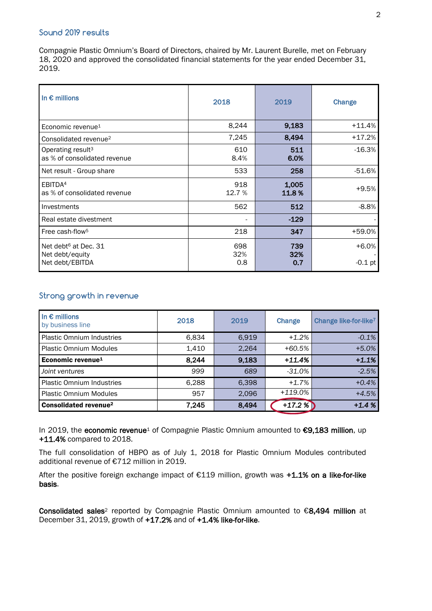#### **Sound 2019 results**

Compagnie Plastic Omnium's Board of Directors, chaired by Mr. Laurent Burelle, met on February 18, 2020 and approved the consolidated financial statements for the year ended December 31, 2019.

| In $\epsilon$ millions                                                 | 2018              | 2019              | Change               |
|------------------------------------------------------------------------|-------------------|-------------------|----------------------|
| Economic revenue <sup>1</sup>                                          | 8,244             | 9,183             | $+11.4%$             |
| Consolidated revenue <sup>2</sup>                                      | 7,245             | 8,494             | $+17.2%$             |
| Operating result <sup>3</sup><br>as % of consolidated revenue          | 610<br>8.4%       | 511<br>6.0%       | $-16.3%$             |
| Net result - Group share                                               | 533               | 258               | $-51.6\%$            |
| EBITDA <sup>4</sup><br>as % of consolidated revenue                    | 918<br>12.7 %     | 1,005<br>11.8%    | $+9.5%$              |
| Investments                                                            | 562               | 512               | $-8.8%$              |
| Real estate divestment                                                 |                   | $-129$            |                      |
| Free cash-flow <sup>5</sup>                                            | 218               | 347               | +59.0%               |
| Net debt <sup>6</sup> at Dec. 31<br>Net debt/equity<br>Net debt/EBITDA | 698<br>32%<br>0.8 | 739<br>32%<br>0.7 | $+6.0%$<br>$-0.1$ pt |

# **Strong growth in revenue**

| In $\epsilon$ millions<br>by business line | 2018  | 2019  | Change    | Change like-for-like <sup>7</sup> |
|--------------------------------------------|-------|-------|-----------|-----------------------------------|
| <b>Plastic Omnium Industries</b>           | 6,834 | 6,919 | $+1.2%$   | $-0.1%$                           |
| <b>Plastic Omnium Modules</b>              | 1,410 | 2,264 | $+60.5%$  | $+5.0%$                           |
| Economic revenue <sup>1</sup>              | 8,244 | 9,183 | $+11.4%$  | $+1.1%$                           |
| Joint ventures                             | 999   | 689   | -31.0%    | $-2.5%$                           |
| <b>Plastic Omnium Industries</b>           | 6,288 | 6,398 | $+1.7\%$  | $+0.4%$                           |
| <b>Plastic Omnium Modules</b>              | 957   | 2,096 | $+119.0%$ | $+4.5%$                           |
| <b>Consolidated revenue<sup>2</sup></b>    | 7,245 | 8,494 | $+17.2%$  | $+1.4%$                           |

In 2019, the economic revenue<sup>1</sup> of Compagnie Plastic Omnium amounted to €9,183 million, up +11.4% compared to 2018.

The full consolidation of HBPO as of July 1, 2018 for Plastic Omnium Modules contributed additional revenue of €712 million in 2019.

After the positive foreign exchange impact of €119 million, growth was +1.1% on a like-for-like basis.

Consolidated sales<sup>2</sup> reported by Compagnie Plastic Omnium amounted to  $\epsilon$ 8,494 million at December 31, 2019, growth of  $+17.2%$  and of  $+1.4%$  like-for-like.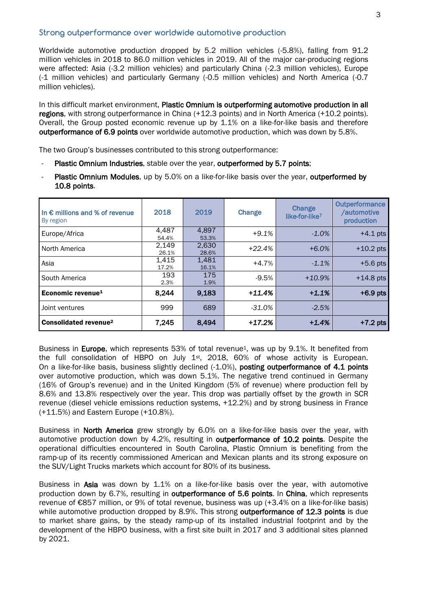#### **Strong outperformance over worldwide automotive production**

Worldwide automotive production dropped by 5.2 million vehicles (-5.8%), falling from 91.2 million vehicles in 2018 to 86.0 million vehicles in 2019. All of the major car-producing regions were affected: Asia (-3.2 million vehicles) and particularly China (-2.3 million vehicles), Europe (-1 million vehicles) and particularly Germany (-0.5 million vehicles) and North America (-0.7 million vehicles).

In this difficult market environment, Plastic Omnium is outperforming automotive production in all regions, with strong outperformance in China (+12.3 points) and in North America (+10.2 points). Overall, the Group posted economic revenue up by 1.1% on a like-for-like basis and therefore outperformance of 6.9 points over worldwide automotive production, which was down by 5.8%.

The two Group's businesses contributed to this strong outperformance:

- Plastic Omnium Industries, stable over the year, outperformed by 5.7 points;
- Plastic Omnium Modules, up by 5.0% on a like-for-like basis over the year, outperformed by 10.8 points.

| In $\epsilon$ millions and % of revenue<br>By region | 2018           | 2019           | Change    | Change<br>like-for-like <sup>7</sup> | Outperformance<br>/automotive<br>production |
|------------------------------------------------------|----------------|----------------|-----------|--------------------------------------|---------------------------------------------|
| Europe/Africa                                        | 4.487<br>54.4% | 4,897<br>53.3% | $+9.1%$   | $-1.0%$                              | $+4.1$ pts                                  |
| North America                                        | 2,149<br>26.1% | 2,630<br>28.6% | $+22.4%$  | $+6.0%$                              | $+10.2$ pts                                 |
| Asia                                                 | 1,415<br>17.2% | 1,481<br>16.1% | $+4.7%$   | $-1.1%$                              | $+5.6$ pts                                  |
| South America                                        | 193<br>2.3%    | 175<br>1.9%    | $-9.5%$   | $+10.9%$                             | $+14.8$ pts                                 |
| Economic revenue <sup>1</sup>                        | 8.244          | 9,183          | $+11.4%$  | $+1.1%$                              | $+6.9$ pts                                  |
| Joint ventures                                       | 999            | 689            | $-31.0\%$ | $-2.5%$                              |                                             |
| Consolidated revenue <sup>2</sup>                    | 7.245          | 8.494          | $+17.2%$  | $+1.4%$                              | $+7.2$ pts                                  |

Business in Europe, which represents 53% of total revenue<sup>1</sup>, was up by 9.1%. It benefited from the full consolidation of HBPO on July 1<sup>st</sup>, 2018, 60% of whose activity is European. On a like-for-like basis, business slightly declined (-1.0%), posting outperformance of 4.1 points over automotive production, which was down 5.1%. The negative trend continued in Germany (16% of Group's revenue) and in the United Kingdom (5% of revenue) where production fell by 8.6% and 13.8% respectively over the year. This drop was partially offset by the growth in SCR revenue (diesel vehicle emissions reduction systems, +12.2%) and by strong business in France (+11.5%) and Eastern Europe (+10.8%).

Business in North America grew strongly by 6.0% on a like-for-like basis over the year, with automotive production down by 4.2%, resulting in outperformance of 10.2 points. Despite the operational difficulties encountered in South Carolina, Plastic Omnium is benefiting from the ramp-up of its recently commissioned American and Mexican plants and its strong exposure on the SUV/Light Trucks markets which account for 80% of its business.

Business in Asia was down by 1.1% on a like-for-like basis over the year, with automotive production down by 6.7%, resulting in outperformance of 5.6 points. In China, which represents revenue of €857 million, or 9% of total revenue, business was up (+3.4% on a like-for-like basis) while automotive production dropped by 8.9%. This strong outperformance of 12.3 points is due to market share gains, by the steady ramp-up of its installed industrial footprint and by the development of the HBPO business, with a first site built in 2017 and 3 additional sites planned by 2021.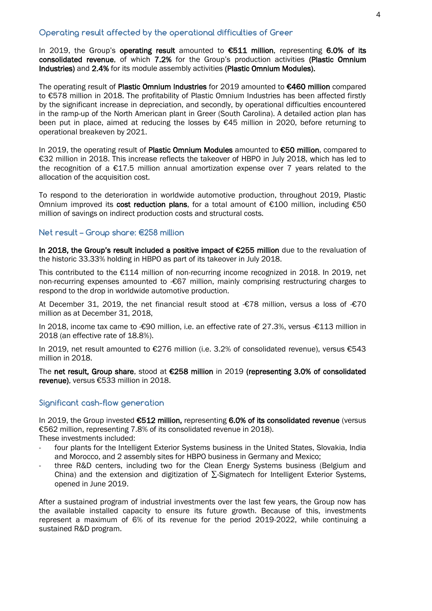# **Operating result affected by the operational difficulties of Greer**

In 2019, the Group's operating result amounted to  $€511$  million, representing 6.0% of its consolidated revenue, of which 7.2% for the Group's production activities (Plastic Omnium Industries) and 2.4% for its module assembly activities (Plastic Omnium Modules).

The operating result of Plastic Omnium Industries for 2019 amounted to €460 million compared to €578 million in 2018. The profitability of Plastic Omnium Industries has been affected firstly by the significant increase in depreciation, and secondly, by operational difficulties encountered in the ramp-up of the North American plant in Greer (South Carolina). A detailed action plan has been put in place, aimed at reducing the losses by  $\epsilon$ 45 million in 2020, before returning to operational breakeven by 2021.

In 2019, the operating result of Plastic Omnium Modules amounted to €50 million, compared to €32 million in 2018. This increase reflects the takeover of HBPO in July 2018, which has led to the recognition of a €17.5 million annual amortization expense over 7 years related to the allocation of the acquisition cost.

To respond to the deterioration in worldwide automotive production, throughout 2019, Plastic Omnium improved its cost reduction plans, for a total amount of  $£100$  million, including  $£50$ million of savings on indirect production costs and structural costs.

#### **Net result – Group share: €258 million**

In 2018, the Group's result included a positive impact of €255 million due to the revaluation of the historic 33.33% holding in HBPO as part of its takeover in July 2018.

This contributed to the €114 million of non-recurring income recognized in 2018. In 2019, net non-recurring expenses amounted to -€67 million, mainly comprising restructuring charges to respond to the drop in worldwide automotive production.

At December 31, 2019, the net financial result stood at -€78 million, versus a loss of -€70 million as at December 31, 2018,

In 2018, income tax came to -€90 million, i.e. an effective rate of 27.3%, versus -€113 million in 2018 (an effective rate of 18.8%).

In 2019, net result amounted to €276 million (i.e. 3.2% of consolidated revenue), versus €543 million in 2018.

The net result, Group share, stood at €258 million in 2019 (representing 3.0% of consolidated revenue), versus €533 million in 2018.

#### **Significant cash-flow generation**

In 2019, the Group invested €512 million, representing 6.0% of its consolidated revenue (versus €562 million, representing 7.8% of its consolidated revenue in 2018).

These investments included:

- four plants for the Intelligent Exterior Systems business in the United States, Slovakia, India and Morocco, and 2 assembly sites for HBPO business in Germany and Mexico;
- three R&D centers, including two for the Clean Energy Systems business (Belgium and China) and the extension and digitization of  $\Sigma$ -Sigmatech for Intelligent Exterior Systems, opened in June 2019.

After a sustained program of industrial investments over the last few years, the Group now has the available installed capacity to ensure its future growth. Because of this, investments represent a maximum of 6% of its revenue for the period 2019-2022, while continuing a sustained R&D program.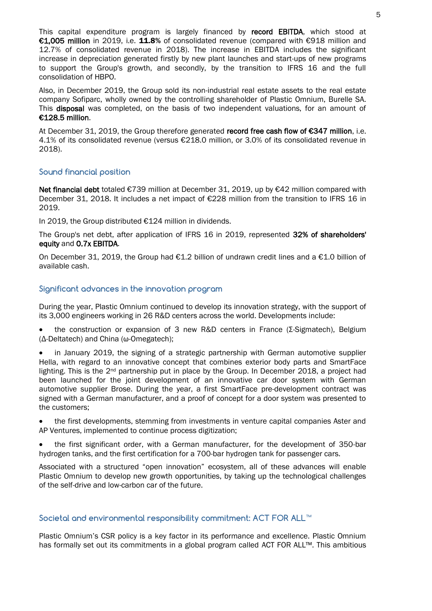This capital expenditure program is largely financed by record EBITDA, which stood at €1,005 million in 2019, i.e. 11.8% of consolidated revenue (compared with €918 million and 12.7% of consolidated revenue in 2018). The increase in EBITDA includes the significant increase in depreciation generated firstly by new plant launches and start-ups of new programs to support the Group's growth, and secondly, by the transition to IFRS 16 and the full consolidation of HBPO.

Also, in December 2019, the Group sold its non-industrial real estate assets to the real estate company Sofiparc, wholly owned by the controlling shareholder of Plastic Omnium, Burelle SA. This disposal was completed, on the basis of two independent valuations, for an amount of €128.5 million.

At December 31, 2019, the Group therefore generated record free cash flow of €347 million, i.e. 4.1% of its consolidated revenue (versus €218.0 million, or 3.0% of its consolidated revenue in 2018).

# **Sound financial position**

Net financial debt totaled €739 million at December 31, 2019, up by €42 million compared with December 31, 2018. It includes a net impact of €228 million from the transition to IFRS 16 in 2019.

In 2019, the Group distributed €124 million in dividends.

The Group's net debt, after application of IFRS 16 in 2019, represented 32% of shareholders' equity and 0.7x EBITDA.

On December 31, 2019, the Group had  $E1.2$  billion of undrawn credit lines and a  $E1.0$  billion of available cash.

#### **Significant advances in the innovation program**

During the year, Plastic Omnium continued to develop its innovation strategy, with the support of its 3,000 engineers working in 26 R&D centers across the world. Developments include:

 the construction or expansion of 3 new R&D centers in France (Σ-Sigmatech), Belgium (Δ-Deltatech) and China (ω-Omegatech);

 in January 2019, the signing of a strategic partnership with German automotive supplier Hella, with regard to an innovative concept that combines exterior body parts and SmartFace lighting. This is the 2nd partnership put in place by the Group. In December 2018, a project had been launched for the joint development of an innovative car door system with German automotive supplier Brose. During the year, a first SmartFace pre-development contract was signed with a German manufacturer, and a proof of concept for a door system was presented to the customers;

 the first developments, stemming from investments in venture capital companies Aster and AP Ventures, implemented to continue process digitization;

 the first significant order, with a German manufacturer, for the development of 350-bar hydrogen tanks, and the first certification for a 700-bar hydrogen tank for passenger cars.

Associated with a structured "open innovation" ecosystem, all of these advances will enable Plastic Omnium to develop new growth opportunities, by taking up the technological challenges of the self-drive and low-carbon car of the future.

# **Societal and environmental responsibility commitment: ACT FOR ALL™**

Plastic Omnium's CSR policy is a key factor in its performance and excellence. Plastic Omnium has formally set out its commitments in a global program called ACT FOR ALL™. This ambitious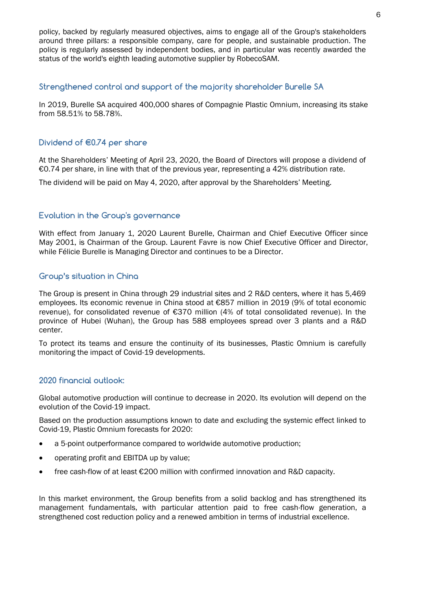policy, backed by regularly measured objectives, aims to engage all of the Group's stakeholders around three pillars: a responsible company, care for people, and sustainable production. The policy is regularly assessed by independent bodies, and in particular was recently awarded the status of the world's eighth leading automotive supplier by RobecoSAM.

#### **Strengthened control and support of the majority shareholder Burelle SA**

In 2019, Burelle SA acquired 400,000 shares of Compagnie Plastic Omnium, increasing its stake from 58.51% to 58.78%.

# **Dividend of €0.74 per share**

At the Shareholders' Meeting of April 23, 2020, the Board of Directors will propose a dividend of €0.74 per share, in line with that of the previous year, representing a 42% distribution rate.

The dividend will be paid on May 4, 2020, after approval by the Shareholders' Meeting.

# **Evolution in the Group's governance**

With effect from January 1, 2020 Laurent Burelle, Chairman and Chief Executive Officer since May 2001, is Chairman of the Group. Laurent Favre is now Chief Executive Officer and Director, while Félicie Burelle is Managing Director and continues to be a Director.

# **Group's situation in China**

The Group is present in China through 29 industrial sites and 2 R&D centers, where it has 5,469 employees. Its economic revenue in China stood at €857 million in 2019 (9% of total economic revenue), for consolidated revenue of €370 million (4% of total consolidated revenue). In the province of Hubei (Wuhan), the Group has 588 employees spread over 3 plants and a R&D center.

To protect its teams and ensure the continuity of its businesses, Plastic Omnium is carefully monitoring the impact of Covid-19 developments.

#### **2020 financial outlook:**

Global automotive production will continue to decrease in 2020. Its evolution will depend on the evolution of the Covid-19 impact.

Based on the production assumptions known to date and excluding the systemic effect linked to Covid-19, Plastic Omnium forecasts for 2020:

- a 5-point outperformance compared to worldwide automotive production;
- operating profit and EBITDA up by value;
- free cash-flow of at least €200 million with confirmed innovation and R&D capacity.

In this market environment, the Group benefits from a solid backlog and has strengthened its management fundamentals, with particular attention paid to free cash-flow generation, a strengthened cost reduction policy and a renewed ambition in terms of industrial excellence.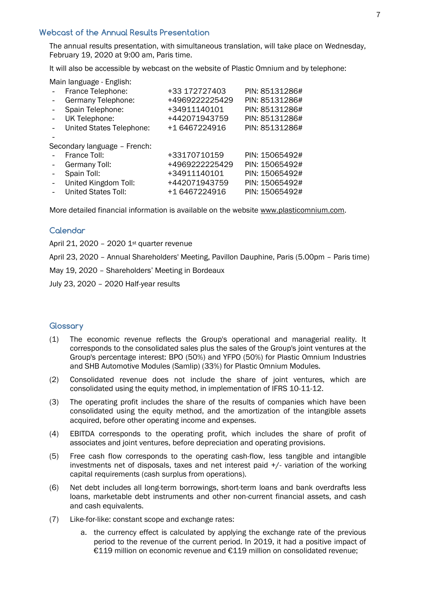## **Webcast of the Annual Results Presentation**

The annual results presentation, with simultaneous translation, will take place on Wednesday, February 19, 2020 at 9:00 am, Paris time.

It will also be accessible by webcast on the website of Plastic Omnium and by telephone:

Main language - English:

| France Telephone:            | +33 172727403  | PIN: 85131286# |
|------------------------------|----------------|----------------|
| Germany Telephone:           | +4969222225429 | PIN: 85131286# |
| Spain Telephone:             | +34911140101   | PIN: 85131286# |
| UK Telephone:                | +442071943759  | PIN: 85131286# |
| United States Telephone:     | +1 6467224916  | PIN: 85131286# |
|                              |                |                |
| Secondary language - French: |                |                |
| France Toll:                 | +33170710159   | PIN: 15065492# |
| Germany Toll:                | +4969222225429 | PIN: 15065492# |
| Spain Toll:                  | +34911140101   | PIN: 15065492# |
| United Kingdom Toll:         | +442071943759  | PIN: 15065492# |
|                              |                |                |
| <b>United States Toll:</b>   | +1 6467224916  | PIN: 15065492# |

More detailed financial information is available on the website [www.plasticomnium.com.](http://www.plasticomnium.com/)

# **Calendar**

April 21, 2020 - 2020  $1<sup>st</sup>$  quarter revenue

April 23, 2020 – Annual Shareholders' Meeting, Pavillon Dauphine, Paris (5.00pm – Paris time)

May 19, 2020 – Shareholders' Meeting in Bordeaux

July 23, 2020 – 2020 Half-year results

#### **Glossary**

- (1) The economic revenue reflects the Group's operational and managerial reality. It corresponds to the consolidated sales plus the sales of the Group's joint ventures at the Group's percentage interest: BPO (50%) and YFPO (50%) for Plastic Omnium Industries and SHB Automotive Modules (Samlip) (33%) for Plastic Omnium Modules.
- (2) Consolidated revenue does not include the share of joint ventures, which are consolidated using the equity method, in implementation of IFRS 10-11-12.
- (3) The operating profit includes the share of the results of companies which have been consolidated using the equity method, and the amortization of the intangible assets acquired, before other operating income and expenses.
- (4) EBITDA corresponds to the operating profit, which includes the share of profit of associates and joint ventures, before depreciation and operating provisions.
- (5) Free cash flow corresponds to the operating cash-flow, less tangible and intangible investments net of disposals, taxes and net interest paid +/- variation of the working capital requirements (cash surplus from operations).
- (6) Net debt includes all long-term borrowings, short-term loans and bank overdrafts less loans, marketable debt instruments and other non-current financial assets, and cash and cash equivalents.
- (7) Like-for-like: constant scope and exchange rates:
	- a. the currency effect is calculated by applying the exchange rate of the previous period to the revenue of the current period. In 2019, it had a positive impact of €119 million on economic revenue and €119 million on consolidated revenue;